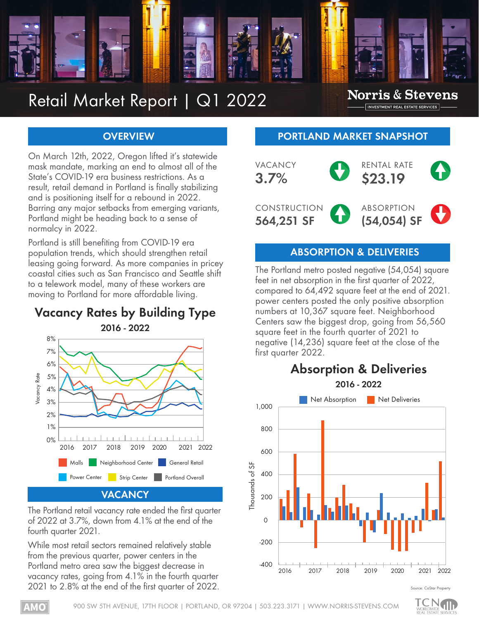

# Retail Market Report | Q1 2022

### **Norris & Stevens** INVESTMENT REAL ESTATE SERVICES

### **OVERVIEW**

On March 12th, 2022, Oregon lifted it's statewide mask mandate, marking an end to almost all of the State's COVID-19 era business restrictions. As a result, retail demand in Portland is finally stabilizing and is positioning itself for a rebound in 2022. Barring any major setbacks from emerging variants, Portland might be heading back to a sense of normalcy in 2022.

Portland is still benefiting from COVID-19 era population trends, which should strengthen retail leasing going forward. As more companies in pricey coastal cities such as San Francisco and Seattle shift to a telework model, many of these workers are moving to Portland for more affordable living.

### **Vacancy Rates by Building Type 2016 - 2022**



The Portland retail vacancy rate ended the first quarter of 2022 at 3.7%, down from 4.1% at the end of the fourth quarter 2021.

While most retail sectors remained relatively stable from the previous quarter, power centers in the Portland metro area saw the biggest decrease in vacancy rates, going from 4.1% in the fourth quarter 2021 to 2.8% at the end of the first quarter of 2022.

### **PORTLAND MARKET SNAPSHOT**



### **ABSORPTION & DELIVERIES**

The Portland metro posted negative (54,054) square feet in net absorption in the first quarter of 2022, compared to 64,492 square feet at the end of 2021. power centers posted the only positive absorption numbers at 10,367 square feet. Neighborhood Centers saw the biggest drop, going from 56,560 square feet in the fourth quarter of 2021 to negative (14,236) square feet at the close of the first quarter 2022.



#### Source: CoStar Prop